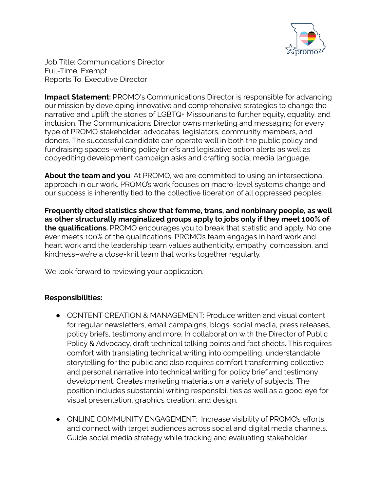

Job Title: Communications Director Full-Time, Exempt Reports To: Executive Director

**Impact Statement:** PROMO's Communications Director is responsible for advancing our mission by developing innovative and comprehensive strategies to change the narrative and uplift the stories of LGBTQ+ Missourians to further equity, equality, and inclusion. The Communications Director owns marketing and messaging for every type of PROMO stakeholder: advocates, legislators, community members, and donors. The successful candidate can operate well in both the public policy and fundraising spaces–writing policy briefs and legislative action alerts as well as copyediting development campaign asks and crafting social media language.

**About the team and you**: At PROMO, we are committed to using an intersectional approach in our work. PROMO's work focuses on macro-level systems change and our success is inherently tied to the collective liberation of all oppressed peoples.

**Frequently cited statistics show that femme, trans, and nonbinary people, as well as other structurally marginalized groups apply to jobs only if they meet 100% of the qualifications.** PROMO encourages you to break that statistic and apply. No one ever meets 100% of the qualifications. PROMO's team engages in hard work and heart work and the leadership team values authenticity, empathy, compassion, and kindness–we're a close-knit team that works together regularly.

We look forward to reviewing your application.

## **Responsibilities:**

- CONTENT CREATION & MANAGEMENT: Produce written and visual content for regular newsletters, email campaigns, blogs, social media, press releases, policy briefs, testimony and more. In collaboration with the Director of Public Policy & Advocacy, draft technical talking points and fact sheets. This requires comfort with translating technical writing into compelling, understandable storytelling for the public and also requires comfort transforming collective and personal narrative into technical writing for policy brief and testimony development. Creates marketing materials on a variety of subjects. The position includes substantial writing responsibilities as well as a good eye for visual presentation, graphics creation, and design.
- ONLINE COMMUNITY ENGAGEMENT: Increase visibility of PROMO's efforts and connect with target audiences across social and digital media channels. Guide social media strategy while tracking and evaluating stakeholder